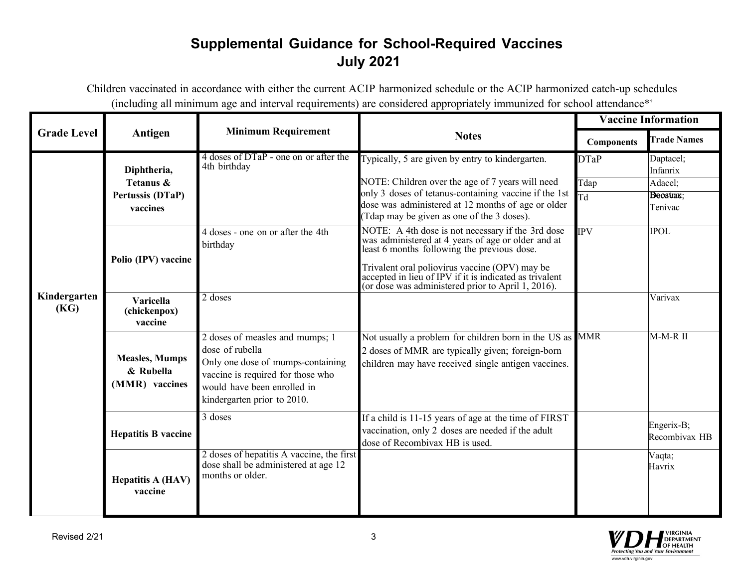## **Supplemental Guidance for School-Required Vaccines July 2021**

Children vaccinated in accordance with either the current ACIP harmonized schedule or the ACIP harmonized catch-up schedules (including all minimum age and interval requirements) are considered appropriately immunized for school attendance\* †

|                      |                                                      |                                                                                                                                                                                                         |                                                                                                                                                                                                                                                                  | <b>Vaccine Information</b> |                             |
|----------------------|------------------------------------------------------|---------------------------------------------------------------------------------------------------------------------------------------------------------------------------------------------------------|------------------------------------------------------------------------------------------------------------------------------------------------------------------------------------------------------------------------------------------------------------------|----------------------------|-----------------------------|
| <b>Grade Level</b>   | Antigen                                              | <b>Minimum Requirement</b>                                                                                                                                                                              | <b>Notes</b>                                                                                                                                                                                                                                                     | <b>Components</b>          | <b>Trade Names</b>          |
|                      | Diphtheria,                                          | 4 doses of DTaP - one on or after the<br>4th birthday                                                                                                                                                   | Typically, 5 are given by entry to kindergarten.                                                                                                                                                                                                                 | <b>DTaP</b>                | Daptacel;<br>Infanrix       |
|                      | Tetanus &<br>Pertussis (DTaP)<br>vaccines            |                                                                                                                                                                                                         | NOTE: Children over the age of 7 years will need                                                                                                                                                                                                                 | Tdap                       | Adacel;                     |
|                      |                                                      |                                                                                                                                                                                                         | only 3 doses of tetanus-containing vaccine if the 1st<br>dose was administered at 12 months of age or older<br>(Tdap may be given as one of the 3 doses).                                                                                                        | $\overline{\text{Td}}$     | Beoatrax:<br>Tenivac        |
| Kindergarten<br>(KG) | Polio (IPV) vaccine                                  | 4 doses - one on or after the 4th<br>birthday                                                                                                                                                           | NOTE: A 4th dose is not necessary if the 3rd dose<br>was administered at 4 years of age or older and at least 6 months following the previous dose.<br>Trivalent oral poliovirus vaccine (OPV) may be<br>accepted in lieu of IPV if it is indicated as trivalent | <b>IPV</b>                 | <b>IPOL</b>                 |
|                      | <b>Varicella</b><br>(chickenpox)<br>vaccine          | 2 doses                                                                                                                                                                                                 | (or dose was administered prior to April 1, 2016).                                                                                                                                                                                                               |                            | Varivax                     |
|                      | <b>Measles, Mumps</b><br>& Rubella<br>(MMR) vaccines | $\overline{2}$ doses of measles and mumps; 1<br>dose of rubella<br>Only one dose of mumps-containing<br>vaccine is required for those who<br>would have been enrolled in<br>kindergarten prior to 2010. | Not usually a problem for children born in the US as MMR<br>2 doses of MMR are typically given; foreign-born<br>children may have received single antigen vaccines.                                                                                              |                            | $M-M-R$ $II$                |
|                      | <b>Hepatitis B vaccine</b>                           | $3$ doses                                                                                                                                                                                               | If a child is 11-15 years of age at the time of FIRST<br>vaccination, only 2 doses are needed if the adult<br>dose of Recombivax HB is used.                                                                                                                     |                            | Engerix-B;<br>Recombivax HB |
|                      | <b>Hepatitis A (HAV)</b><br>vaccine                  | 2 doses of hepatitis A vaccine, the first<br>dose shall be administered at age 12<br>months or older.                                                                                                   |                                                                                                                                                                                                                                                                  |                            | Vaqta;<br>Havrix            |

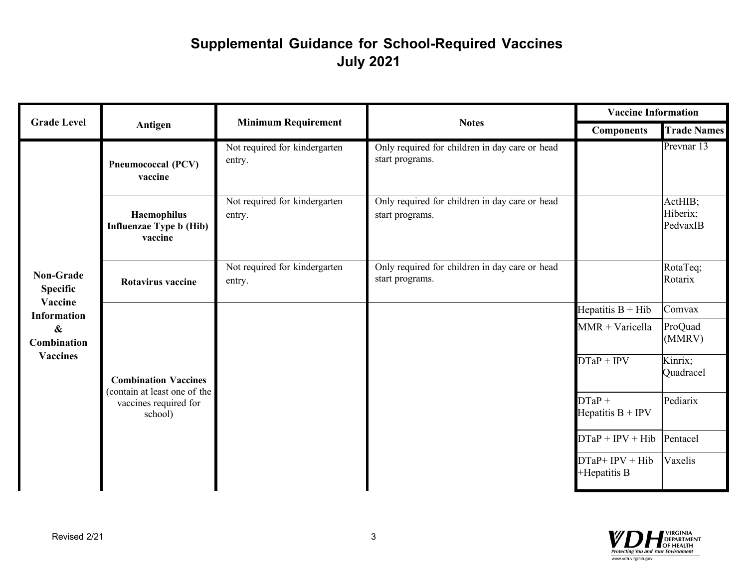## **Supplemental Guidance for School-Required Vaccines July 2021**

|                                                                                                                             |                                                                                                 |                                         |                                                                   | <b>Vaccine Information</b>      |                                 |
|-----------------------------------------------------------------------------------------------------------------------------|-------------------------------------------------------------------------------------------------|-----------------------------------------|-------------------------------------------------------------------|---------------------------------|---------------------------------|
| <b>Grade Level</b>                                                                                                          | Antigen                                                                                         | <b>Minimum Requirement</b>              | <b>Notes</b>                                                      | <b>Components</b>               | <b>Trade Names</b>              |
|                                                                                                                             | <b>Pneumococcal (PCV)</b><br>vaccine                                                            | Not required for kindergarten<br>entry. | Only required for children in day care or head<br>start programs. |                                 | Prevnar 13                      |
| <b>Non-Grade</b><br><b>Specific</b><br>Vaccine<br><b>Information</b><br>$\boldsymbol{\&}$<br>Combination<br><b>Vaccines</b> | <b>Haemophilus</b><br><b>Influenzae Type b (Hib)</b><br>vaccine                                 | Not required for kindergarten<br>entry. | Only required for children in day care or head<br>start programs. |                                 | ActHIB;<br>Hiberix;<br>PedvaxIB |
|                                                                                                                             | Rotavirus vaccine                                                                               | Not required for kindergarten<br>entry. | Only required for children in day care or head<br>start programs. |                                 | RotaTeq;<br>Rotarix             |
|                                                                                                                             |                                                                                                 |                                         |                                                                   | Hepatitis $B + Hib$             | Comvax                          |
|                                                                                                                             |                                                                                                 |                                         |                                                                   | $MMR + Varicella$               | ProQuad<br>(MMRV)               |
|                                                                                                                             | <b>Combination Vaccines</b><br>(contain at least one of the<br>vaccines required for<br>school) |                                         |                                                                   | $DTaP + IPv$                    | Kinrix;<br>Quadracel            |
|                                                                                                                             |                                                                                                 |                                         |                                                                   | $DTaP +$<br>Hepatitis $B + IPV$ | Pediarix                        |
|                                                                                                                             |                                                                                                 |                                         |                                                                   | $DTaP + IPv + Hib$              | Pentacel                        |
|                                                                                                                             |                                                                                                 |                                         |                                                                   | $DTaP+IPV+Hib$<br>+Hepatitis B  | Vaxelis                         |
|                                                                                                                             |                                                                                                 |                                         |                                                                   |                                 |                                 |